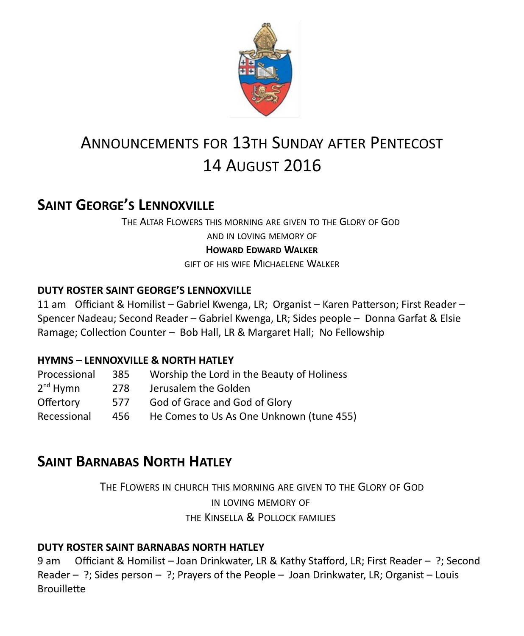

# ANNOUNCEMENTS FOR 13TH SUNDAY AFTER PENTECOST 14 AUGUST 2016

# **SAINT GEORGE'S LENNOXVILLE**

THE ALTAR FLOWERS THIS MORNING ARE GIVEN TO THE GLORY OF GOD

AND IN LOVING MEMORY OF

### **HOWARD EDWARD WALKER**

GIFT OF HIS WIFE MICHAELENE WALKER

### **DUTY ROSTER SAINT GEORGE'S LENNOXVILLE**

11 am Officiant & Homilist – Gabriel Kwenga, LR; Organist – Karen Patterson; First Reader – Spencer Nadeau; Second Reader – Gabriel Kwenga, LR; Sides people – Donna Garfat & Elsie Ramage; Collection Counter – Bob Hall, LR & Margaret Hall; No Fellowship

### **HYMNS – LENNOXVILLE & NORTH HATLEY**

| Processional         | 385  | Worship the Lord in the Beauty of Holiness |
|----------------------|------|--------------------------------------------|
| 2 <sup>nd</sup> Hymn | 278  | Jerusalem the Golden                       |
| Offertory            | 577  | God of Grace and God of Glory              |
| Recessional          | 456. | He Comes to Us As One Unknown (tune 455)   |

# **SAINT BARNABAS NORTH HATLEY**

THE FLOWERS IN CHURCH THIS MORNING ARE GIVEN TO THE GLORY OF GOD IN LOVING MEMORY OF THE KINSELLA & POLLOCK FAMILIES

### **DUTY ROSTER SAINT BARNABAS NORTH HATLEY**

9 am Officiant & Homilist – Joan Drinkwater, LR & Kathy Stafford, LR; First Reader – ?; Second Reader – ?; Sides person – ?; Prayers of the People – Joan Drinkwater, LR; Organist – Louis **Brouillette**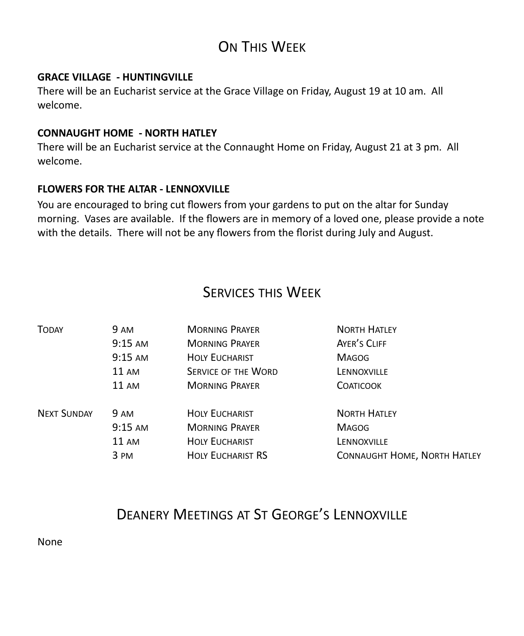# ON THIS WFFK

#### **GRACE VILLAGE - HUNTINGVILLE**

There will be an Eucharist service at the Grace Village on Friday, August 19 at 10 am. All welcome.

### **CONNAUGHT HOME - NORTH HATLEY**

There will be an Eucharist service at the Connaught Home on Friday, August 21 at 3 pm. All welcome.

#### **FLOWERS FOR THE ALTAR - LENNOXVILLE**

You are encouraged to bring cut flowers from your gardens to put on the altar for Sunday morning. Vases are available. If the flowers are in memory of a loved one, please provide a note with the details. There will not be any flowers from the florist during July and August.

### SERVICES THIS WEEK

| <b>TODAY</b>       | 9 AM              | <b>MORNING PRAYER</b>      | <b>NORTH HATLEY</b>                 |
|--------------------|-------------------|----------------------------|-------------------------------------|
|                    | $9:15$ AM         | <b>MORNING PRAYER</b>      | AYER'S CLIFF                        |
|                    | $9:15$ AM         | <b>HOLY EUCHARIST</b>      | <b>MAGOG</b>                        |
|                    | $11 \text{ AM}$   | <b>SERVICE OF THE WORD</b> | LENNOXVILLE                         |
|                    | $11 \text{ AM}$   | <b>MORNING PRAYER</b>      | <b>COATICOOK</b>                    |
| <b>NEXT SUNDAY</b> | 9 AM              | <b>HOLY EUCHARIST</b>      | <b>NORTH HATLEY</b>                 |
|                    | $9:15 \text{ AM}$ | <b>MORNING PRAYER</b>      | <b>MAGOG</b>                        |
|                    | $11 \text{ AM}$   | <b>HOLY EUCHARIST</b>      | LENNOXVILLE                         |
|                    | 3 PM              | <b>HOLY EUCHARIST RS</b>   | <b>CONNAUGHT HOME, NORTH HATLEY</b> |

# DEANERY MEETINGS AT ST GEORGE'S LENNOXVILLE

None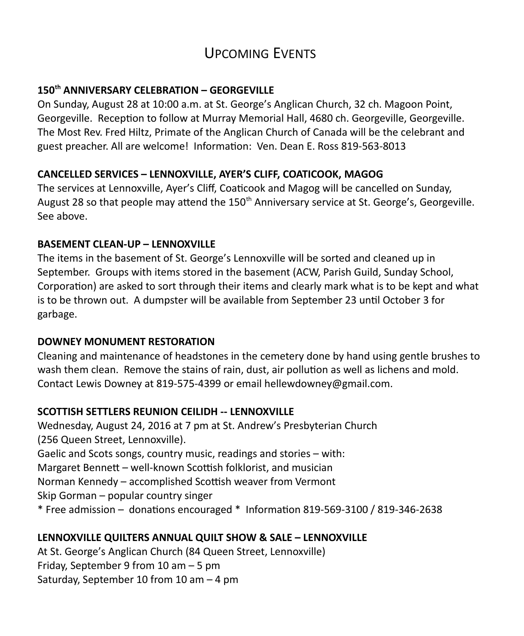# UPCOMING EVENTS

### **150th ANNIVERSARY CELEBRATION – GEORGEVILLE**

On Sunday, August 28 at 10:00 a.m. at St. George's Anglican Church, 32 ch. Magoon Point, Georgeville. Reception to follow at Murray Memorial Hall, 4680 ch. Georgeville, Georgeville. The Most Rev. Fred Hiltz, Primate of the Anglican Church of Canada will be the celebrant and guest preacher. All are welcome! Information: Ven. Dean E. Ross 819-563-8013

#### **CANCELLED SERVICES – LENNOXVILLE, AYER'S CLIFF, COATICOOK, MAGOG**

The services at Lennoxville, Ayer's Cliff, Coaticook and Magog will be cancelled on Sunday, August 28 so that people may attend the 150<sup>th</sup> Anniversary service at St. George's, Georgeville. See above.

#### **BASEMENT CLEAN-UP – LENNOXVILLE**

The items in the basement of St. George's Lennoxville will be sorted and cleaned up in September. Groups with items stored in the basement (ACW, Parish Guild, Sunday School, Corporation) are asked to sort through their items and clearly mark what is to be kept and what is to be thrown out. A dumpster will be available from September 23 until October 3 for garbage.

#### **DOWNEY MONUMENT RESTORATION**

Cleaning and maintenance of headstones in the cemetery done by hand using gentle brushes to wash them clean. Remove the stains of rain, dust, air pollution as well as lichens and mold. Contact Lewis Downey at 819-575-4399 or email hellewdowney@gmail.com.

#### **SCOTTISH SETTLERS REUNION CEILIDH -- LENNOXVILLE**

Wednesday, August 24, 2016 at 7 pm at St. Andrew's Presbyterian Church (256 Queen Street, Lennoxville). Gaelic and Scots songs, country music, readings and stories – with: Margaret Bennett – well-known Scottish folklorist, and musician Norman Kennedy – accomplished Scottish weaver from Vermont Skip Gorman – popular country singer \* Free admission – donations encouraged \* Information 819-569-3100 / 819-346-2638

### **LENNOXVILLE QUILTERS ANNUAL QUILT SHOW & SALE – LENNOXVILLE**

At St. George's Anglican Church (84 Queen Street, Lennoxville) Friday, September 9 from 10 am – 5 pm Saturday, September 10 from 10 am – 4 pm